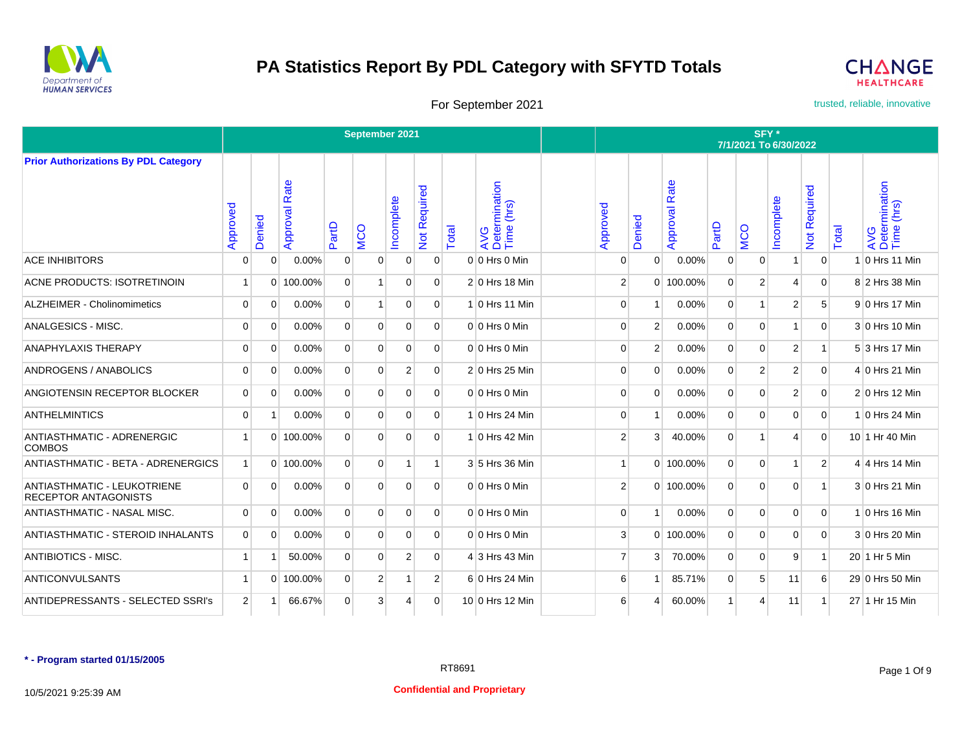



For September 2021 **trusted, reliable, innovative** 

|                                                                   |                |             |                      |                | September 2021 |                |                            |       |                                    |                |                |                  |                |                | SFY*<br>7/1/2021 To 6/30/2022 |                           |       |                                    |
|-------------------------------------------------------------------|----------------|-------------|----------------------|----------------|----------------|----------------|----------------------------|-------|------------------------------------|----------------|----------------|------------------|----------------|----------------|-------------------------------|---------------------------|-------|------------------------------------|
| <b>Prior Authorizations By PDL Category</b>                       |                |             |                      |                |                |                |                            |       |                                    |                |                |                  |                |                |                               |                           |       |                                    |
|                                                                   | Approved       | Denied      | <b>Approval Rate</b> | PartD          | <b>MCO</b>     | Incomplete     | Required<br>$\overline{5}$ | Total | AVG<br>Determination<br>Time (hrs) | Approved       | Denied         | Rate<br>Approval | PartD          | <b>MCO</b>     | Incomplete                    | Required<br>$\frac{1}{2}$ | Total | AVG<br>Determination<br>Time (hrs) |
| <b>ACE INHIBITORS</b>                                             | 0              | 0           | 0.00%                | 0              | 0              | $\overline{0}$ | $\mathbf 0$                |       | $0 0$ Hrs 0 Min                    | 0              | $\overline{0}$ | 0.00%            | 0              | $\overline{0}$ | 1                             | $\overline{0}$            |       | 1 0 Hrs 11 Min                     |
| <b>ACNE PRODUCTS: ISOTRETINOIN</b>                                | $\overline{1}$ |             | 0 100.00%            | $\Omega$       |                | $\Omega$       | $\Omega$                   |       | 2 0 Hrs 18 Min                     | $\overline{2}$ |                | 0 100.00%        | $\Omega$       | $\overline{2}$ | 4                             | $\overline{0}$            |       | 8 2 Hrs 38 Min                     |
| ALZHEIMER - Cholinomimetics                                       | 0              | 0           | 0.00%                | $\overline{0}$ | 1              | 0              | $\overline{0}$             |       | 1 0 Hrs 11 Min                     | $\mathbf 0$    |                | 0.00%            | $\overline{0}$ | 1              | $\overline{2}$                | 5                         |       | 9 0 Hrs 17 Min                     |
| ANALGESICS - MISC.                                                | 0              | 0           | 0.00%                | $\mathbf{0}$   | $\Omega$       | $\Omega$       | $\overline{0}$             |       | $0 0$ Hrs 0 Min                    | 0              | $\overline{2}$ | 0.00%            | $\overline{0}$ | 0              | $\overline{\phantom{a}}$      | $\overline{0}$            |       | 3 0 Hrs 10 Min                     |
| <b>ANAPHYLAXIS THERAPY</b>                                        | $\Omega$       | $\Omega$    | 0.00%                | $\Omega$       | $\Omega$       | $\Omega$       | $\Omega$                   |       | $0 0$ Hrs 0 Min                    | $\Omega$       | $\overline{2}$ | 0.00%            | $\Omega$       | $\Omega$       | $\overline{2}$                | $\mathbf{1}$              |       | 5 3 Hrs 17 Min                     |
| ANDROGENS / ANABOLICS                                             | 0              | $\mathbf 0$ | 0.00%                | $\mathbf{0}$   | 0              | $\overline{2}$ | $\overline{0}$             |       | 2 0 Hrs 25 Min                     | $\mathbf 0$    | $\Omega$       | 0.00%            | $\overline{0}$ | 2              | $\overline{2}$                | $\overline{0}$            |       | 4 0 Hrs 21 Min                     |
| ANGIOTENSIN RECEPTOR BLOCKER                                      | 0              | $\mathbf 0$ | 0.00%                | $\mathbf 0$    | $\Omega$       | $\mathbf 0$    | $\overline{0}$             |       | $0 0$ Hrs 0 Min                    | $\mathbf 0$    | $\Omega$       | 0.00%            | 0              | $\mathbf 0$    | $\overline{2}$                | $\mathbf{0}$              |       | $2 0$ Hrs 12 Min                   |
| <b>ANTHELMINTICS</b>                                              | 0              | 1           | 0.00%                | $\Omega$       | $\Omega$       | $\Omega$       | $\overline{0}$             |       | 1 0 Hrs 24 Min                     | 0              |                | 0.00%            | 0              | $\Omega$       | $\Omega$                      | $\overline{0}$            |       | 1 0 Hrs 24 Min                     |
| ANTIASTHMATIC - ADRENERGIC<br><b>COMBOS</b>                       | $\overline{1}$ |             | 0 100.00%            | $\Omega$       | $\Omega$       | $\Omega$       | $\Omega$                   |       | $1 0$ Hrs 42 Min                   | $\overline{2}$ | 3              | 40.00%           | $\overline{0}$ | 1              | 4                             | $\Omega$                  |       | 10 1 Hr 40 Min                     |
| ANTIASTHMATIC - BETA - ADRENERGICS                                | $\vert$ 1      |             | $0$ 100.00%          | $\Omega$       | $\Omega$       | $\mathbf{1}$   | $\mathbf{1}$               |       | 3 5 Hrs 36 Min                     | $\overline{1}$ |                | 0 100.00%        | $\overline{0}$ | $\Omega$       | 1                             | $\overline{2}$            |       | $4 \vert 4 \vert$ Hrs 14 Min       |
| <b>ANTIASTHMATIC - LEUKOTRIENE</b><br><b>RECEPTOR ANTAGONISTS</b> | $\Omega$       | $\Omega$    | 0.00%                | $\overline{0}$ | $\Omega$       | $\Omega$       | $\Omega$                   |       | $0 0$ Hrs 0 Min                    | $\overline{2}$ |                | 0 100.00%        | $\Omega$       | 0              | $\Omega$                      | $\mathbf{1}$              |       | 3 0 Hrs 21 Min                     |
| ANTIASTHMATIC - NASAL MISC.                                       | $\Omega$       | 0           | 0.00%                | $\overline{0}$ | $\Omega$       | $\Omega$       | $\Omega$                   |       | $0 0$ Hrs 0 Min                    | 0              | $\mathbf{1}$   | 0.00%            | $\Omega$       | $\overline{0}$ | $\Omega$                      | $\overline{0}$            |       | 1 0 Hrs 16 Min                     |
| <b>ANTIASTHMATIC - STEROID INHALANTS</b>                          | $\mathbf 0$    | $\mathbf 0$ | 0.00%                | $\mathbf 0$    | $\Omega$       | $\Omega$       | $\Omega$                   |       | $0 0$ Hrs 0 Min                    | 3              |                | $0$ 100.00%      | $\Omega$       | $\Omega$       | $\Omega$                      | $\overline{0}$            |       | 3 0 Hrs 20 Min                     |
| <b>ANTIBIOTICS - MISC.</b>                                        | $\overline{1}$ | 1           | 50.00%               | $\overline{0}$ | 0              | $\overline{2}$ | $\overline{0}$             |       | 4 3 Hrs 43 Min                     | $\overline{7}$ | 3              | 70.00%           | $\overline{0}$ | 0              | 9                             | $\mathbf{1}$              |       | 20 1 Hr 5 Min                      |
| <b>ANTICONVULSANTS</b>                                            | $\overline{1}$ |             | 0 100.00%            | $\overline{0}$ | 2              | $\overline{1}$ | $\overline{2}$             |       | 6 0 Hrs 24 Min                     | 6              |                | 85.71%           | $\Omega$       | 5              | 11                            | 6                         |       | 29 0 Hrs 50 Min                    |
| <b>ANTIDEPRESSANTS - SELECTED SSRI's</b>                          | $\overline{2}$ | 1           | 66.67%               | 0              | 3              | 4              | $\overline{0}$             |       | 10 0 Hrs 12 Min                    | 6              | 4              | 60.00%           | 1              | 4              | 11                            | $\mathbf{1}$              |       | 27 1 Hr 15 Min                     |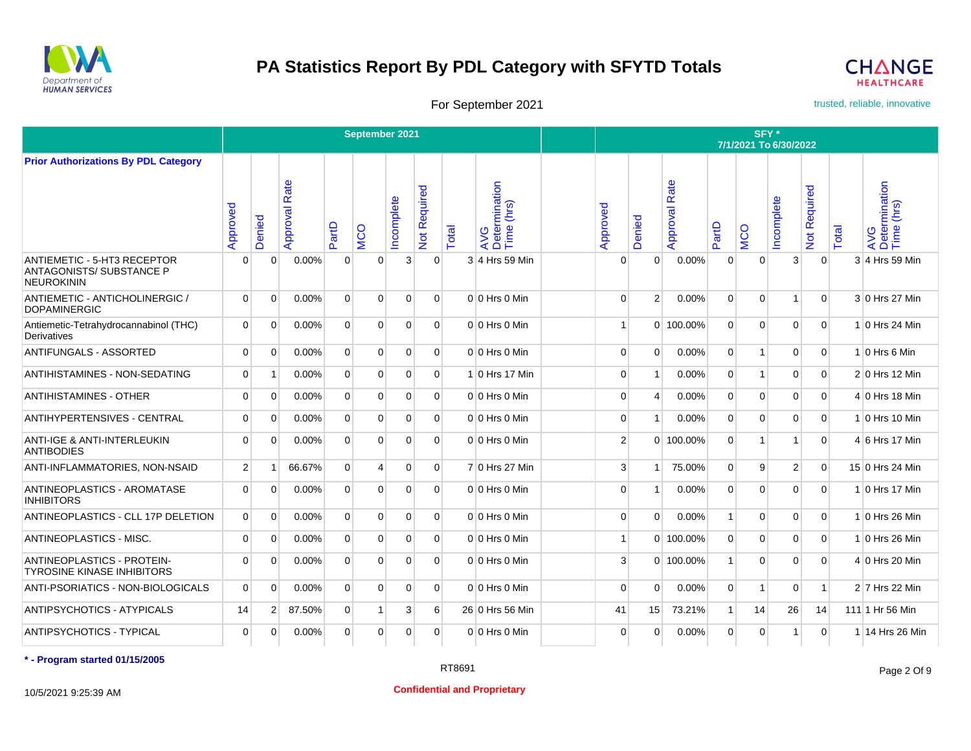



For September 2021 **trusted, reliable, innovative** 

|                                                                              |                |                |                  |                | September 2021 |                |                           |       |                                    |                |                |                      |                | SFY*           | 7/1/2021 To 6/30/2022 |                |       |                                    |
|------------------------------------------------------------------------------|----------------|----------------|------------------|----------------|----------------|----------------|---------------------------|-------|------------------------------------|----------------|----------------|----------------------|----------------|----------------|-----------------------|----------------|-------|------------------------------------|
| <b>Prior Authorizations By PDL Category</b>                                  |                |                |                  |                |                |                |                           |       |                                    |                |                |                      |                |                |                       |                |       |                                    |
|                                                                              | Approved       | Denied         | Rate<br>Approval | PartD          | <b>NCO</b>     | Incomplete     | Required<br>$\frac{5}{2}$ | Total | AVG<br>Determination<br>Time (hrs) | Approved       | Denied         | <b>Approval Rate</b> | PartD          | <b>MCO</b>     | ncomplete             | Not Required   | Total | AVG<br>Determination<br>Time (hrs) |
| ANTIEMETIC - 5-HT3 RECEPTOR<br>ANTAGONISTS/ SUBSTANCE P<br><b>NEUROKININ</b> | 0              | 0              | 0.00%            | $\mathbf 0$    | 0              | 3              | $\mathbf 0$               |       | 3 4 Hrs 59 Min                     | 0              | 0              | 0.00%                | $\mathbf 0$    | $\overline{0}$ | 3 <sup>1</sup>        | $\mathbf 0$    |       | 3 4 Hrs 59 Min                     |
| ANTIEMETIC - ANTICHOLINERGIC /<br><b>DOPAMINERGIC</b>                        | $\mathbf 0$    | $\mathbf 0$    | 0.00%            | $\mathbf 0$    | $\Omega$       | $\mathbf 0$    | $\overline{0}$            |       | $0 0$ Hrs 0 Min                    | 0              | $\overline{2}$ | 0.00%                | $\mathbf 0$    | $\overline{0}$ | $\overline{1}$        | $\mathbf 0$    |       | 3 0 Hrs 27 Min                     |
| Antiemetic-Tetrahydrocannabinol (THC)<br>Derivatives                         | $\Omega$       | $\Omega$       | 0.00%            | $\Omega$       | $\Omega$       | $\Omega$       | $\Omega$                  |       | $0 0$ Hrs $0$ Min                  | -1             |                | $0$   100.00%        | $\Omega$       | $\Omega$       | $\Omega$              | $\Omega$       |       | 1 0 Hrs 24 Min                     |
| <b>ANTIFUNGALS - ASSORTED</b>                                                | $\mathbf 0$    | $\mathbf 0$    | 0.00%            | $\mathbf{0}$   | 0              | $\overline{0}$ | $\overline{0}$            |       | $0 0$ Hrs 0 Min                    | $\mathbf 0$    | 0              | 0.00%                | $\overline{0}$ | 1 <sup>1</sup> | $\overline{0}$        | $\overline{0}$ |       | $1 0$ Hrs 6 Min                    |
| ANTIHISTAMINES - NON-SEDATING                                                | $\mathbf 0$    | 1              | 0.00%            | $\mathbf 0$    | $\Omega$       | $\mathbf 0$    | $\Omega$                  |       | 1 0 Hrs 17 Min                     | 0              | 1              | 0.00%                | $\mathbf 0$    | $\mathbf{1}$   | $\Omega$              | $\mathbf 0$    |       | $2 0$ Hrs 12 Min                   |
| <b>ANTIHISTAMINES - OTHER</b>                                                | $\Omega$       | $\Omega$       | 0.00%            | $\overline{0}$ | $\Omega$       | $\Omega$       | $\Omega$                  |       | $0 0$ Hrs 0 Min                    | 0              | 4              | 0.00%                | $\Omega$       | $\Omega$       | $\Omega$              | $\mathbf 0$    |       | 4 0 Hrs 18 Min                     |
| <b>ANTIHYPERTENSIVES - CENTRAL</b>                                           | $\Omega$       | $\Omega$       | 0.00%            | $\Omega$       | $\Omega$       | $\Omega$       | $\Omega$                  |       | $0 0$ Hrs 0 Min                    | $\Omega$       |                | 0.00%                | $\Omega$       | $\Omega$       | $\Omega$              | $\Omega$       |       | 0 Hrs 10 Min                       |
| <b>ANTI-IGE &amp; ANTI-INTERLEUKIN</b><br><b>ANTIBODIES</b>                  | $\mathbf 0$    | $\Omega$       | 0.00%            | $\Omega$       | $\Omega$       | $\Omega$       | $\Omega$                  |       | $0 0$ Hrs 0 Min                    | $\overline{2}$ |                | 0 100.00%            | $\Omega$       | $\overline{1}$ |                       | $\Omega$       |       | 4 6 Hrs 17 Min                     |
| ANTI-INFLAMMATORIES, NON-NSAID                                               | $\overline{2}$ | 1              | 66.67%           | 0              | 4              | $\Omega$       | $\Omega$                  |       | 7 0 Hrs 27 Min                     | 3              | 1              | 75.00%               | $\mathbf 0$    | 9              | $\overline{2}$        | $\mathbf 0$    |       | 15 0 Hrs 24 Min                    |
| ANTINEOPLASTICS - AROMATASE<br><b>INHIBITORS</b>                             | $\mathbf 0$    | $\mathbf 0$    | 0.00%            | $\mathbf 0$    | $\Omega$       | $\Omega$       | $\Omega$                  |       | $0 0$ Hrs 0 Min                    | $\Omega$       | -1             | 0.00%                | 0              | $\mathbf 0$    | $\Omega$              | $\Omega$       |       | $1 0$ Hrs 17 Min                   |
| ANTINEOPLASTICS - CLL 17P DELETION                                           | $\mathbf 0$    | $\mathbf 0$    | 0.00%            | $\Omega$       | 0              | $\Omega$       | $\Omega$                  |       | $0 0$ Hrs 0 Min                    | $\Omega$       | 0              | 0.00%                | $\mathbf{1}$   | $\Omega$       | $\overline{0}$        | $\mathbf 0$    |       | $1 0$ Hrs 26 Min                   |
| ANTINEOPLASTICS - MISC.                                                      | $\mathbf 0$    | $\mathbf 0$    | 0.00%            | $\overline{0}$ | 0              | 0              | $\Omega$                  |       | $0 0$ Hrs 0 Min                    | $\overline{1}$ |                | 0 100.00%            | $\mathbf 0$    | $\overline{0}$ | $\overline{0}$        | $\mathbf 0$    |       | 1 0 Hrs 26 Min                     |
| ANTINEOPLASTICS - PROTEIN-<br><b>TYROSINE KINASE INHIBITORS</b>              | $\mathbf 0$    | $\mathbf 0$    | 0.00%            | $\overline{0}$ | $\Omega$       | $\Omega$       | $\overline{0}$            |       | $0 0$ Hrs 0 Min                    | 3              |                | 0 100.00%            | $\mathbf{1}$   | $\overline{0}$ | $\Omega$              | $\mathbf 0$    |       | 4 0 Hrs 20 Min                     |
| ANTI-PSORIATICS - NON-BIOLOGICALS                                            | $\Omega$       | $\Omega$       | 0.00%            | $\Omega$       | $\Omega$       | $\Omega$       | $\Omega$                  |       | $0 0$ Hrs $0$ Min                  | $\Omega$       | $\Omega$       | 0.00%                | $\overline{0}$ | $\mathbf{1}$   | $\Omega$              | $\overline{1}$ |       | 2 7 Hrs 22 Min                     |
| ANTIPSYCHOTICS - ATYPICALS                                                   | 14             | $\overline{2}$ | 87.50%           | $\overline{0}$ | 1              | 3              | 6                         |       | 26 0 Hrs 56 Min                    | 41             | 15             | 73.21%               | 1 <sup>1</sup> | 14             | 26                    | 14             |       | 111 Hr 56 Min                      |
| <b>ANTIPSYCHOTICS - TYPICAL</b>                                              | 0              | $\Omega$       | 0.00%            | $\mathbf 0$    | 0              | $\mathbf 0$    | $\Omega$                  |       | $0 0$ Hrs 0 Min                    | $\Omega$       | 0              | 0.00%                | $\mathbf 0$    | $\mathbf 0$    | $\mathbf{1}$          | $\mathbf 0$    |       | 1 14 Hrs 26 Min                    |

**\* - Program started 01/15/2005**

Page 2 Of 9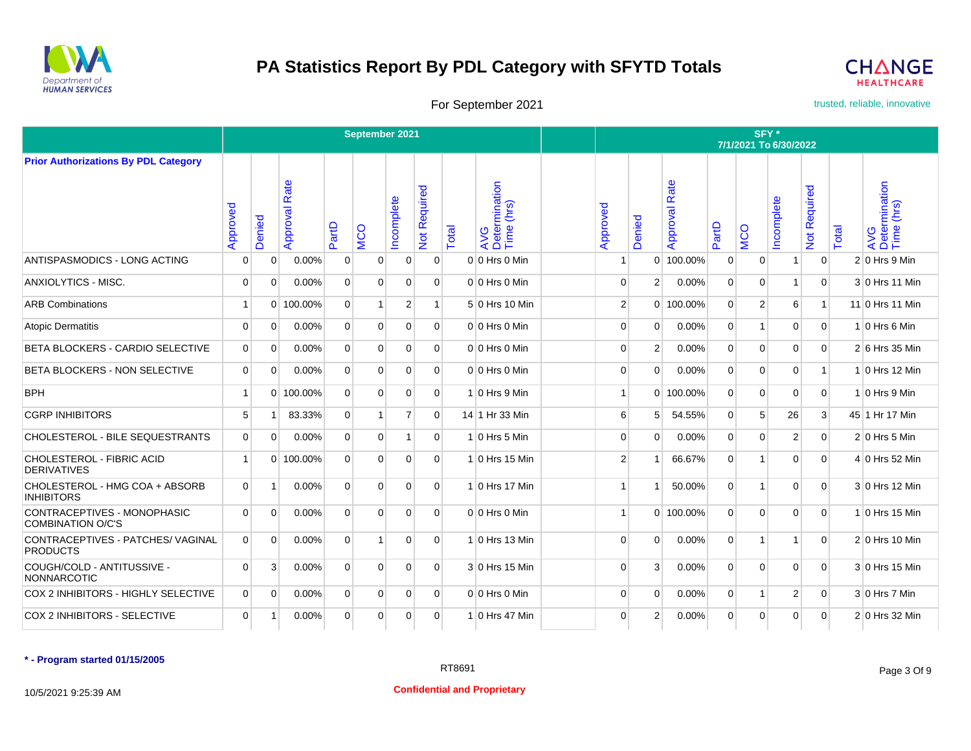



For September 2021 **trusted, reliable, innovative** 

|                                                      |                |             |                  |                | September 2021 |                |                           |       |                                    |                |                |                  |                      | SFY*           | 7/1/2021 To 6/30/2022 |                           |       |                                    |
|------------------------------------------------------|----------------|-------------|------------------|----------------|----------------|----------------|---------------------------|-------|------------------------------------|----------------|----------------|------------------|----------------------|----------------|-----------------------|---------------------------|-------|------------------------------------|
| <b>Prior Authorizations By PDL Category</b>          |                |             |                  |                |                |                |                           |       |                                    |                |                |                  |                      |                |                       |                           |       |                                    |
|                                                      | Approved       | Denied      | Rate<br>Approval | PartD          | <b>MCO</b>     | Incomplete     | Required<br>$\frac{5}{2}$ | Total | AVG<br>Determination<br>Time (hrs) | Approved       | Denied         | Rate<br>Approval | artD<br>$\mathbf{a}$ | <b>MCO</b>     | ncomplete             | Required<br>$\frac{5}{2}$ | Total | AVG<br>Determination<br>Time (hrs) |
| ANTISPASMODICS - LONG ACTING                         | 0              | 0           | 0.00%            | 0              | O              | 0              | $\mathbf 0$               |       | $0 0$ Hrs 0 Min                    |                | 0              | 100.00%          | 0                    | 0              |                       | $\overline{0}$            |       | $2 0$ Hrs 9 Min                    |
| ANXIOLYTICS - MISC.                                  | 0              | $\Omega$    | 0.00%            | $\Omega$       | $\Omega$       | $\Omega$       | $\Omega$                  |       | $0 0$ Hrs 0 Min                    | $\mathbf 0$    | $\overline{2}$ | 0.00%            | $\Omega$             | 0              |                       | $\Omega$                  |       | 3 0 Hrs 11 Min                     |
| <b>ARB Combinations</b>                              | $\overline{1}$ |             | 0 100.00%        | $\mathbf{0}$   | 1              | 2              | $\mathbf{1}$              |       | 5 0 Hrs 10 Min                     | $\overline{2}$ |                | 0 100.00%        | $\overline{0}$       | 2              | 6                     | $\mathbf{1}$              |       | 11 0 Hrs 11 Min                    |
| <b>Atopic Dermatitis</b>                             | $\mathbf 0$    | $\mathbf 0$ | 0.00%            | $\mathbf 0$    | $\Omega$       | $\mathbf 0$    | $\mathbf 0$               |       | $0 0$ Hrs 0 Min                    | $\mathbf 0$    | $\Omega$       | 0.00%            | 0                    | $\overline{1}$ | $\Omega$              | $\mathbf 0$               |       | $1 0$ Hrs 6 Min                    |
| BETA BLOCKERS - CARDIO SELECTIVE                     | 0              | $\mathbf 0$ | 0.00%            | $\mathbf 0$    | $\Omega$       | $\Omega$       | $\overline{0}$            |       | $0 0$ Hrs 0 Min                    | $\Omega$       | $\overline{2}$ | 0.00%            | 0                    | $\mathbf 0$    | $\Omega$              | $\overline{0}$            |       | 2 6 Hrs 35 Min                     |
| BETA BLOCKERS - NON SELECTIVE                        | $\mathbf 0$    | $\mathbf 0$ | 0.00%            | $\mathbf 0$    | 0              | $\mathbf 0$    | $\overline{0}$            |       | $0 0$ Hrs 0 Min                    | $\mathbf 0$    | $\Omega$       | 0.00%            | 0                    | $\mathbf 0$    | 0                     | $\mathbf{1}$              |       | $1 0$ Hrs 12 Min                   |
| <b>BPH</b>                                           | $\overline{1}$ | $\Omega$    | 100.00%          | $\Omega$       | $\Omega$       | $\Omega$       | $\overline{0}$            |       | $1 0$ Hrs 9 Min                    | 1              |                | 0 100.00%        | $\overline{0}$       | $\Omega$       | $\Omega$              | $\overline{0}$            |       | $1 0$ Hrs 9 Min                    |
| <b>CGRP INHIBITORS</b>                               | 5              | 1           | 83.33%           | $\overline{0}$ |                | $\overline{7}$ | $\mathbf 0$               |       | 14 1 Hr 33 Min                     | 6              | 5              | 54.55%           | $\overline{0}$       | 5              | 26                    | 3                         |       | 45 1 Hr 17 Min                     |
| CHOLESTEROL - BILE SEQUESTRANTS                      | $\mathbf 0$    | $\Omega$    | 0.00%            | $\Omega$       | 0              | $\overline{1}$ | $\overline{0}$            |       | $1 0$ Hrs 5 Min                    | $\Omega$       | $\Omega$       | 0.00%            | $\Omega$             | $\Omega$       | $\overline{2}$        | $\overline{0}$            |       | $2 0$ Hrs 5 Min                    |
| CHOLESTEROL - FIBRIC ACID<br><b>DERIVATIVES</b>      | $\overline{1}$ |             | 0 100.00%        | $\mathbf 0$    | $\mathbf 0$    | $\mathbf 0$    | $\overline{0}$            |       | $1 0$ Hrs 15 Min                   | $\overline{2}$ |                | 66.67%           | $\overline{0}$       | 1              | $\Omega$              | $\overline{0}$            |       | 4 0 Hrs 52 Min                     |
| CHOLESTEROL - HMG COA + ABSORB<br><b>INHIBITORS</b>  | 0              | $\mathbf 1$ | 0.00%            | $\Omega$       | $\Omega$       | $\Omega$       | $\Omega$                  |       | $1 0$ Hrs 17 Min                   | $\overline{1}$ |                | 50.00%           | $\Omega$             | 1              | $\Omega$              | $\Omega$                  |       | 3 0 Hrs 12 Min                     |
| CONTRACEPTIVES - MONOPHASIC<br>COMBINATION O/C'S     | $\mathbf 0$    | $\mathbf 0$ | 0.00%            | $\Omega$       | $\Omega$       | $\Omega$       | $\Omega$                  |       | $0 0$ Hrs 0 Min                    | $\overline{1}$ |                | $0$ 100.00%      | $\Omega$             | $\Omega$       | $\Omega$              | $\Omega$                  |       | 1 0 Hrs 15 Min                     |
| CONTRACEPTIVES - PATCHES/ VAGINAL<br><b>PRODUCTS</b> | $\mathbf 0$    | $\mathbf 0$ | 0.00%            | $\mathbf 0$    |                | $\Omega$       | $\Omega$                  |       | $1 0$ Hrs 13 Min                   | $\Omega$       | $\Omega$       | 0.00%            | $\overline{0}$       | 1              |                       | $\mathbf 0$               |       | $2 0$ Hrs 10 Min                   |
| COUGH/COLD - ANTITUSSIVE -<br>NONNARCOTIC            | $\mathbf 0$    | 3           | 0.00%            | $\mathbf 0$    | $\mathbf 0$    | $\Omega$       | $\overline{0}$            |       | 3 0 Hrs 15 Min                     | $\mathbf 0$    | 3              | 0.00%            | 0                    | $\mathbf 0$    | $\Omega$              | $\overline{0}$            |       | 3 0 Hrs 15 Min                     |
| COX 2 INHIBITORS - HIGHLY SELECTIVE                  | $\mathbf 0$    | $\mathbf 0$ | 0.00%            | $\mathbf 0$    | $\mathbf 0$    | $\mathbf 0$    | $\overline{0}$            |       | $0 0$ Hrs 0 Min                    | $\mathbf 0$    | $\Omega$       | 0.00%            | $\overline{0}$       | 1              | $\overline{2}$        | $\mathbf{0}$              |       | $3 0$ Hrs 7 Min                    |
| COX 2 INHIBITORS - SELECTIVE                         | $\overline{0}$ | -1          | 0.00%            | $\mathbf 0$    | 0              | 0              | $\overline{0}$            |       | 1 0 Hrs 47 Min                     | $\mathbf 0$    | $\overline{2}$ | 0.00%            | 0                    | 0              | 0                     | $\overline{0}$            |       | 2 0 Hrs 32 Min                     |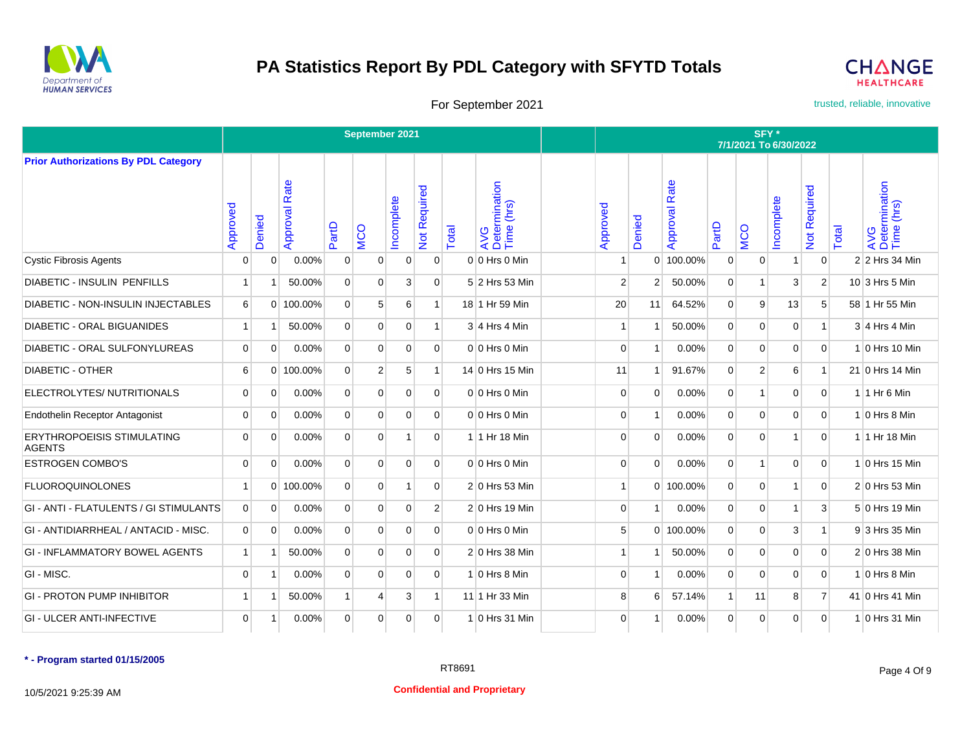



For September 2021 **trusted, reliable, innovative** 

|                                                    |                |                |                      |                | September 2021 |             |                |       |                                    |                |          |                  |                | SFY*<br>7/1/2021 To 6/30/2022 |                |                           |       |                                         |
|----------------------------------------------------|----------------|----------------|----------------------|----------------|----------------|-------------|----------------|-------|------------------------------------|----------------|----------|------------------|----------------|-------------------------------|----------------|---------------------------|-------|-----------------------------------------|
| <b>Prior Authorizations By PDL Category</b>        |                |                |                      |                |                |             |                |       |                                    |                |          |                  |                |                               |                |                           |       |                                         |
|                                                    | Approved       | Denied         | <b>Approval Rate</b> | PartD          | <b>NCO</b>     | Incomplete  | Not Required   | Total | AVG<br>Determination<br>Time (hrs) | Approved       | Denied   | Rate<br>Approval | PartD          | <b>MCO</b>                    | ncomplete      | Required<br>$\frac{5}{2}$ | Total | AVG<br>Determination<br>Time (hrs)      |
| <b>Cystic Fibrosis Agents</b>                      | 0              | 0              | 0.00%                | $\mathbf{0}$   | 0              | 0           | 0              |       | $0 0$ Hrs 0 Min                    | -1             | $\Omega$ | 100.00%          | $\Omega$       | $\mathbf 0$                   |                | $\overline{0}$            |       | 2 2 Hrs 34 Min                          |
| <b>DIABETIC - INSULIN PENFILLS</b>                 | $\mathbf{1}$   | 1              | 50.00%               | $\overline{0}$ | 0              | 3           | $\Omega$       |       | 5 2 Hrs 53 Min                     | $\overline{2}$ | 2        | 50.00%           | $\Omega$       |                               | 3              | 2                         |       | $10\overline{\smash{\big)}3}$ Hrs 5 Min |
| <b>DIABETIC - NON-INSULIN INJECTABLES</b>          | 6              |                | 0 100.00%            | $\overline{0}$ | 5              | 6           | 1              |       | 18 1 Hr 59 Min                     | 20             | 11       | 64.52%           | $\overline{0}$ | 9                             | 13             | 5                         |       | 58 1 Hr 55 Min                          |
| <b>DIABETIC - ORAL BIGUANIDES</b>                  | $\vert$        | -1             | 50.00%               | $\overline{0}$ | $\overline{0}$ | $\mathbf 0$ | 1              |       | $3 4$ Hrs 4 Min                    | $\mathbf{1}$   |          | 50.00%           | $\overline{0}$ | $\overline{0}$                | $\mathbf 0$    | $\overline{1}$            |       | $3 4$ Hrs 4 Min                         |
| DIABETIC - ORAL SULFONYLUREAS                      | $\overline{0}$ | $\Omega$       | 0.00%                | $\overline{0}$ | $\Omega$       | $\mathbf 0$ | $\Omega$       |       | $0 0$ Hrs 0 Min                    | $\Omega$       | -1       | 0.00%            | $\overline{0}$ | $\Omega$                      | $\Omega$       | $\Omega$                  |       | 1 0 Hrs 10 Min                          |
| <b>DIABETIC - OTHER</b>                            | 6              | $\Omega$       | 100.00%              | $\Omega$       | 2              | 5           |                |       | 14 0 Hrs 15 Min                    | 11             |          | 91.67%           | $\Omega$       | $\overline{2}$                | 6              | $\overline{\mathbf{1}}$   |       | 21 0 Hrs 14 Min                         |
| ELECTROLYTES/ NUTRITIONALS                         | $\overline{0}$ | $\Omega$       | 0.00%                | $\mathbf{0}$   | $\overline{0}$ | $\mathbf 0$ | $\Omega$       |       | $0 0$ Hrs 0 Min                    | $\Omega$       | $\Omega$ | 0.00%            | $\Omega$       | 1                             | $\mathbf 0$    | $\mathbf 0$               |       | $1$ 1 Hr 6 Min                          |
| <b>Endothelin Receptor Antagonist</b>              | 0              | $\Omega$       | 0.00%                | $\mathbf{0}$   | $\Omega$       | $\mathbf 0$ | $\Omega$       |       | $0 0$ Hrs $0$ Min                  | $\Omega$       | -1       | 0.00%            | $\overline{0}$ | $\overline{0}$                | $\mathbf 0$    | $\mathbf 0$               |       | $1 0$ Hrs 8 Min                         |
| <b>ERYTHROPOEISIS STIMULATING</b><br><b>AGENTS</b> | $\mathbf 0$    | $\mathbf 0$    | 0.00%                | $\mathbf{0}$   | $\mathbf 0$    | 1           | 0              |       | $1$ 1 Hr 18 Min                    | $\Omega$       | $\Omega$ | 0.00%            | $\Omega$       | $\overline{0}$                | $\overline{1}$ | $\mathbf 0$               |       | 1 1 Hr 18 Min                           |
| <b>ESTROGEN COMBO'S</b>                            | $\mathbf 0$    | 0              | 0.00%                | $\overline{0}$ | $\overline{0}$ | $\mathbf 0$ | $\Omega$       |       | $0 0$ Hrs 0 Min                    | $\Omega$       | $\Omega$ | 0.00%            | $\Omega$       | $\mathbf{1}$                  | $\mathbf 0$    | 0                         |       | $1 0$ Hrs 15 Min                        |
| <b>FLUOROQUINOLONES</b>                            | $\mathbf{1}$   | $\Omega$       | 100.00%              | $\overline{0}$ | $\mathbf 0$    |             | 0              |       | $2 0$ Hrs 53 Min                   | $\mathbf{1}$   |          | 0 100.00%        | $\Omega$       | $\overline{0}$                |                | $\mathbf 0$               |       | $2 0$ Hrs 53 Min                        |
| GI - ANTI - FLATULENTS / GI STIMULANTS             | $\mathbf 0$    | $\mathbf 0$    | 0.00%                | $\overline{0}$ | 0              | $\mathbf 0$ | $\overline{2}$ |       | $2 0$ Hrs 19 Min                   | $\mathbf 0$    |          | 0.00%            | $\Omega$       | $\overline{0}$                |                | 3                         |       | $5 0$ Hrs 19 Min                        |
| GI - ANTIDIARRHEAL / ANTACID - MISC.               | $\mathbf{0}$   | $\mathbf 0$    | 0.00%                | $\overline{0}$ | $\overline{0}$ | $\mathbf 0$ | $\Omega$       |       | $0 0$ Hrs 0 Min                    | 5              |          | 0 100.00%        | $\overline{0}$ | $\overline{0}$                | 3              | $\vert$ 1                 |       | 93 Hrs 35 Min                           |
| <b>GI - INFLAMMATORY BOWEL AGENTS</b>              | $\mathbf{1}$   | $\overline{1}$ | 50.00%               | $\overline{0}$ | $\Omega$       | $\mathbf 0$ | $\Omega$       |       | $2 0$ Hrs 38 Min                   | $\mathbf{1}$   |          | 50.00%           | $\Omega$       | $\Omega$                      | $\mathbf 0$    | $\mathbf 0$               |       | 2 0 Hrs 38 Min                          |
| GI - MISC.                                         | $\mathbf 0$    | -1             | 0.00%                | $\Omega$       | $\Omega$       | $\Omega$    | $\Omega$       |       | $1 0$ Hrs 8 Min                    | $\Omega$       |          | 0.00%            | $\Omega$       | $\Omega$                      | $\Omega$       | $\Omega$                  |       | $1 0$ Hrs 8 Min                         |
| <b>GI - PROTON PUMP INHIBITOR</b>                  | $\mathbf{1}$   | -1             | 50.00%               | $\mathbf{1}$   | $\overline{4}$ | 3           | 1              |       | 11 1 Hr 33 Min                     | 8              | 6        | 57.14%           |                | 11                            | 8              | $\overline{7}$            |       | 41 0 Hrs 41 Min                         |
| <b>GI - ULCER ANTI-INFECTIVE</b>                   | $\overline{0}$ | $\overline{1}$ | 0.00%                | $\overline{0}$ | 0              | 0           | $\overline{0}$ |       | $1 0$ Hrs 31 Min                   | $\mathbf 0$    |          | 0.00%            | $\overline{0}$ | $\overline{0}$                | $\mathbf 0$    | 0                         |       | 1 0 Hrs 31 Min                          |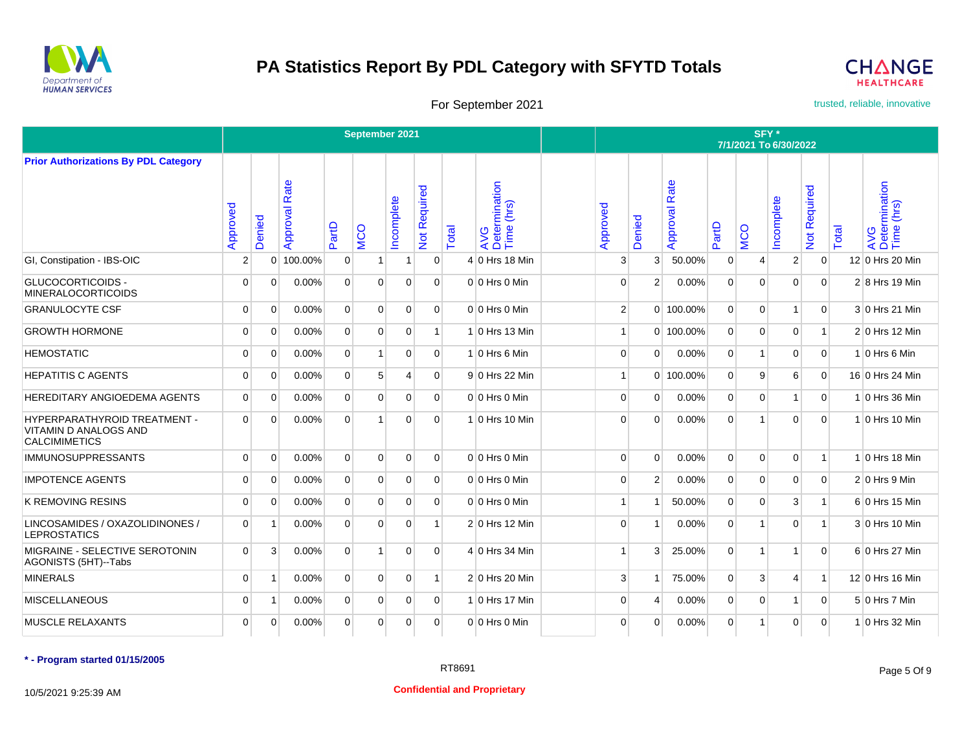



For September 2021 **trusted, reliable, innovative** 

|                                                                                             |                |                |                  |                | September 2021 |                |                |       |                                    |                |                |                  |                | SFY*           | 7/1/2021 To 6/30/2022 |                                              |       |                                    |
|---------------------------------------------------------------------------------------------|----------------|----------------|------------------|----------------|----------------|----------------|----------------|-------|------------------------------------|----------------|----------------|------------------|----------------|----------------|-----------------------|----------------------------------------------|-------|------------------------------------|
| <b>Prior Authorizations By PDL Category</b>                                                 |                |                |                  |                |                |                |                |       |                                    |                |                |                  |                |                |                       |                                              |       |                                    |
|                                                                                             | Approved       | Denied         | Rate<br>Approval | PartD          | <b>MCO</b>     | ncomplete      | Not Required   | Total | AVG<br>Determination<br>Time (hrs) | Approved       | enied<br>Õ     | Rate<br>Approval | PartD          | <b>MCO</b>     | ncomplete             | equired<br>$\tilde{\alpha}$<br>$\frac{1}{2}$ | Total | AVG<br>Determination<br>Time (hrs) |
| GI, Constipation - IBS-OIC                                                                  | $\overline{2}$ | $\Omega$       | 100.00%          | $\overline{0}$ |                | 1              | 0              |       | $4 0$ Hrs 18 Min                   | 3              | 3              | 50.00%           | $\Omega$       | 4              | $\overline{2}$        | 0                                            |       | 12 0 Hrs 20 Min                    |
| <b>GLUCOCORTICOIDS -</b><br><b>MINERALOCORTICOIDS</b>                                       | $\mathbf 0$    | $\Omega$       | 0.00%            | $\Omega$       | $\Omega$       | $\Omega$       | $\Omega$       |       | $0 0$ Hrs 0 Min                    | $\Omega$       | 2              | 0.00%            | $\Omega$       | $\Omega$       | $\Omega$              | 0                                            |       | $2 8$ Hrs 19 Min                   |
| <b>GRANULOCYTE CSF</b>                                                                      | $\mathbf 0$    | $\Omega$       | 0.00%            | $\Omega$       | $\Omega$       | 0              | $\Omega$       |       | $0 0$ Hrs 0 Min                    | $\overline{2}$ |                | 0 100.00%        | $\Omega$       | $\overline{0}$ | $\overline{1}$        | $\Omega$                                     |       | 3 0 Hrs 21 Min                     |
| <b>GROWTH HORMONE</b>                                                                       | $\mathbf 0$    | $\mathbf 0$    | 0.00%            | $\overline{0}$ | $\mathbf 0$    | 0              |                |       | $1 0$ Hrs 13 Min                   | $\mathbf{1}$   |                | 0 100.00%        | $\Omega$       | $\overline{0}$ | $\mathbf 0$           | $\mathbf{1}$                                 |       | $2 0$ Hrs 12 Min                   |
| <b>HEMOSTATIC</b>                                                                           | $\mathbf 0$    | $\mathbf 0$    | 0.00%            | $\overline{0}$ | $\overline{1}$ | $\overline{0}$ | $\Omega$       |       | $1 0$ Hrs 6 Min                    | $\mathbf 0$    | $\Omega$       | 0.00%            | $\Omega$       | $\overline{1}$ | $\mathbf 0$           | $\overline{0}$                               |       | $1 0$ Hrs 6 Min                    |
| <b>HEPATITIS C AGENTS</b>                                                                   | 0              | $\mathbf 0$    | 0.00%            | $\overline{0}$ | 5              | 4              | $\overline{0}$ |       | 9 0 Hrs 22 Min                     | $\mathbf{1}$   |                | 0 100.00%        | $\Omega$       | 9              | 6                     | 0                                            |       | 16 0 Hrs 24 Min                    |
| HEREDITARY ANGIOEDEMA AGENTS                                                                | $\mathbf 0$    | $\mathbf 0$    | 0.00%            | $\Omega$       | $\Omega$       | $\mathbf 0$    | $\Omega$       |       | $0 0$ Hrs 0 Min                    | $\Omega$       | $\Omega$       | 0.00%            | $\Omega$       | $\overline{0}$ | $\overline{1}$        | 0                                            |       | 1 0 Hrs 36 Min                     |
| <b>HYPERPARATHYROID TREATMENT -</b><br><b>VITAMIN D ANALOGS AND</b><br><b>CALCIMIMETICS</b> | $\Omega$       | $\Omega$       | 0.00%            | $\Omega$       | 1              | $\Omega$       | $\Omega$       |       | $1 0$ Hrs 10 Min                   | $\Omega$       | $\Omega$       | 0.00%            | $\Omega$       |                | $\Omega$              | 0                                            |       | 1 0 Hrs 10 Min                     |
| <b>IMMUNOSUPPRESSANTS</b>                                                                   | $\mathbf 0$    | $\mathbf 0$    | $0.00\%$         | $\overline{0}$ | $\Omega$       | $\overline{0}$ | $\Omega$       |       | $0 0$ Hrs 0 Min                    | $\Omega$       | $\Omega$       | 0.00%            | $\overline{0}$ | $\overline{0}$ | $\mathbf 0$           | $\vert$ 1                                    |       | $1 0$ Hrs 18 Min                   |
| <b>IMPOTENCE AGENTS</b>                                                                     | $\mathbf 0$    | $\mathbf 0$    | 0.00%            | $\overline{0}$ | $\mathbf 0$    | $\mathbf 0$    | $\overline{0}$ |       | $0 0$ Hrs 0 Min                    | $\mathbf 0$    | $\overline{2}$ | 0.00%            | $\Omega$       | $\overline{0}$ | $\mathbf 0$           | 0                                            |       | $2 0$ Hrs 9 Min                    |
| <b>K REMOVING RESINS</b>                                                                    | $\mathbf 0$    | $\mathbf 0$    | 0.00%            | $\Omega$       | $\Omega$       | $\mathbf 0$    | $\Omega$       |       | $0 0$ Hrs 0 Min                    | 1              |                | 50.00%           | $\Omega$       | $\overline{0}$ | 3                     | $\overline{1}$                               |       | 6 0 Hrs 15 Min                     |
| LINCOSAMIDES / OXAZOLIDINONES /<br><b>LEPROSTATICS</b>                                      | $\overline{0}$ | $\overline{1}$ | 0.00%            | $\overline{0}$ | $\mathbf 0$    | $\mathbf 0$    |                |       | $2 0$ Hrs 12 Min                   | $\Omega$       |                | 0.00%            | $\Omega$       |                | $\mathbf 0$           | $\overline{1}$                               |       | 3 0 Hrs 10 Min                     |
| MIGRAINE - SELECTIVE SEROTONIN<br>AGONISTS (5HT)--Tabs                                      | $\mathbf 0$    | 3              | 0.00%            | $\overline{0}$ | $\overline{1}$ | $\mathbf 0$    | $\overline{0}$ |       | 4 0 Hrs 34 Min                     | $\overline{1}$ | 3              | 25.00%           | $\Omega$       | $\overline{1}$ | $\overline{1}$        | $\mathbf 0$                                  |       | 6 0 Hrs 27 Min                     |
| <b>MINERALS</b>                                                                             | $\mathbf 0$    | $\mathbf{1}$   | 0.00%            | $\overline{0}$ | $\mathbf 0$    | $\overline{0}$ |                |       | $2 0$ Hrs 20 Min                   | 3              |                | 75.00%           | $\Omega$       | 3              | $\overline{4}$        | $\overline{1}$                               |       | 12 0 Hrs 16 Min                    |
| <b>MISCELLANEOUS</b>                                                                        | $\mathbf 0$    | $\overline{1}$ | 0.00%            | $\overline{0}$ | $\mathbf 0$    | $\overline{0}$ | $\overline{0}$ |       | $1 0$ Hrs 17 Min                   | $\mathbf 0$    | 4              | 0.00%            | $\Omega$       | $\overline{0}$ | $\overline{1}$        | 0                                            |       | 5 0 Hrs 7 Min                      |
| <b>MUSCLE RELAXANTS</b>                                                                     | $\mathbf 0$    | $\Omega$       | 0.00%            | $\Omega$       | $\Omega$       | $\mathbf 0$    | $\Omega$       |       | $0 0$ Hrs 0 Min                    | $\Omega$       | $\Omega$       | 0.00%            | $\Omega$       | $\mathbf{1}$   | $\Omega$              | $\Omega$                                     |       | 1 0 Hrs 32 Min                     |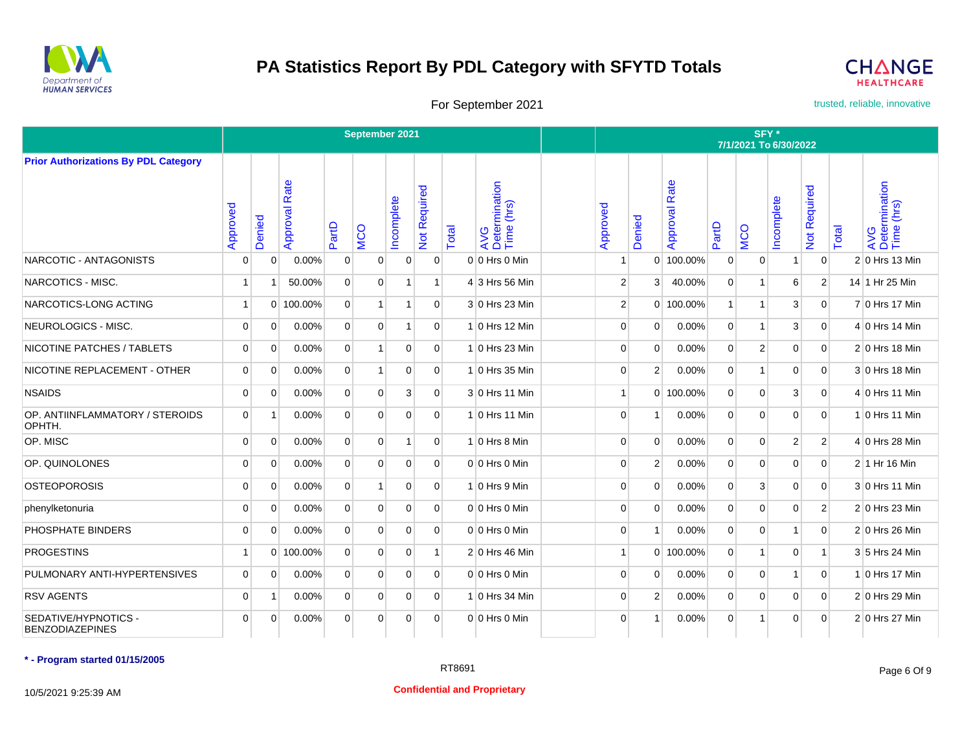



For September 2021 **trusted, reliable, innovative** 

|                                                |                |                |                      |                | September 2021 |             |                |       |                                    |                |                |                      |                | SFY*<br>7/1/2021 To 6/30/2022 |                |                |       |                                    |
|------------------------------------------------|----------------|----------------|----------------------|----------------|----------------|-------------|----------------|-------|------------------------------------|----------------|----------------|----------------------|----------------|-------------------------------|----------------|----------------|-------|------------------------------------|
| <b>Prior Authorizations By PDL Category</b>    |                |                |                      |                |                |             |                |       |                                    |                |                |                      |                |                               |                |                |       |                                    |
|                                                | Approved       | Denied         | <b>Approval Rate</b> | PartD          | <b>NCO</b>     | Incomplete  | Not Required   | Total | AVG<br>Determination<br>Time (hrs) | Approved       | Denied         | <b>Approval Rate</b> | PartD          | <b>MCO</b>                    | ncomplete      | Not Required   | Total | AVG<br>Determination<br>Time (hrs) |
| NARCOTIC - ANTAGONISTS                         | $\mathbf 0$    | 0              | $0.00\%$             | $\mathbf{0}$   | $\overline{0}$ | 0           | $\Omega$       |       | $0 0$ Hrs 0 Min                    | $\mathbf{1}$   |                | 0 100.00%            | $\overline{0}$ | 0                             | 1              | $\overline{0}$ |       | $2 0$ Hrs 13 Min                   |
| NARCOTICS - MISC.                              | $\overline{1}$ | -1             | 50.00%               | $\Omega$       | $\Omega$       | -1          | 1              |       | 4 3 Hrs 56 Min                     | $\overline{2}$ | 3              | 40.00%               | $\Omega$       | 1                             | 6              | $\overline{2}$ |       | 14 1 Hr 25 Min                     |
| NARCOTICS-LONG ACTING                          | $\mathbf{1}$   |                | 0 100.00%            | $\Omega$       | 1              | 1           | $\Omega$       |       | 3 0 Hrs 23 Min                     | $\overline{2}$ |                | $0$ 100.00%          |                | 1                             | 3              | $\Omega$       |       | 7 0 Hrs 17 Min                     |
| NEUROLOGICS - MISC.                            | $\mathbf 0$    | 0              | 0.00%                | $\overline{0}$ | $\overline{0}$ | 1           | $\overline{0}$ |       | $1 0$ Hrs 12 Min                   | $\mathbf 0$    | $\Omega$       | 0.00%                | $\overline{0}$ | $\mathbf{1}$                  | 3              | $\mathbf 0$    |       | 4 0 Hrs 14 Min                     |
| NICOTINE PATCHES / TABLETS                     | $\overline{0}$ | $\mathbf 0$    | 0.00%                | $\overline{0}$ | $\mathbf{1}$   | 0           | $\overline{0}$ |       | $1 0$ Hrs 23 Min                   | $\mathbf 0$    | $\overline{0}$ | 0.00%                | $\overline{0}$ | $\overline{2}$                | $\mathbf 0$    | $\overline{0}$ |       | $2 0$ Hrs 18 Min                   |
| NICOTINE REPLACEMENT - OTHER                   | $\mathbf 0$    | 0              | 0.00%                | $\overline{0}$ | 1              | $\mathbf 0$ | $\overline{0}$ |       | 1 0 Hrs 35 Min                     | $\mathbf 0$    | $\mathbf{2}$   | 0.00%                | $\overline{0}$ | 1                             | $\mathbf 0$    | $\mathbf 0$    |       | 3 0 Hrs 18 Min                     |
| <b>NSAIDS</b>                                  | 0              | $\mathbf 0$    | 0.00%                | $\overline{0}$ | $\overline{0}$ | 3           | $\overline{0}$ |       | 3 0 Hrs 11 Min                     | $\overline{1}$ |                | 0 100.00%            | $\Omega$       | $\mathbf 0$                   | 3              | $\mathbf 0$    |       | $4$ 0 Hrs 11 Min                   |
| OP. ANTIINFLAMMATORY / STEROIDS<br>OPHTH.      | $\mathbf 0$    | $\overline{1}$ | 0.00%                | $\Omega$       | $\mathbf 0$    | $\Omega$    | $\Omega$       |       | 1 0 Hrs 11 Min                     | $\mathbf 0$    |                | 0.00%                | $\Omega$       | $\Omega$                      | $\mathbf 0$    | $\mathbf 0$    |       | $1 0$ Hrs 11 Min                   |
| OP. MISC                                       | $\mathbf 0$    | $\mathbf 0$    | 0.00%                | $\overline{0}$ | $\overline{0}$ | 1           | $\overline{0}$ |       | $1 0$ Hrs 8 Min                    | $\mathbf 0$    | $\Omega$       | 0.00%                | $\overline{0}$ | $\mathbf 0$                   | $\overline{c}$ | $\overline{2}$ |       | $4 0$ Hrs 28 Min                   |
| OP. QUINOLONES                                 | $\mathbf 0$    | $\mathbf 0$    | 0.00%                | $\overline{0}$ | $\overline{0}$ | 0           | $\overline{0}$ |       | $0 0$ Hrs 0 Min                    | $\mathbf 0$    | 2              | 0.00%                | $\overline{0}$ | $\mathbf 0$                   | $\mathbf 0$    | 0              |       | 2 1 Hr 16 Min                      |
| <b>OSTEOPOROSIS</b>                            | $\mathbf 0$    | $\mathbf 0$    | 0.00%                | $\mathbf{0}$   | $\mathbf{1}$   | 0           | $\overline{0}$ |       | $1 0$ Hrs 9 Min                    | $\mathbf 0$    | $\overline{0}$ | 0.00%                | $\overline{0}$ | 3                             | $\mathbf 0$    | $\overline{0}$ |       | 3 0 Hrs 11 Min                     |
| phenylketonuria                                | $\mathbf 0$    | $\Omega$       | 0.00%                | $\overline{0}$ | $\Omega$       | $\Omega$    | $\overline{0}$ |       | $0 0$ Hrs 0 Min                    | $\mathbf 0$    | $\Omega$       | 0.00%                | $\Omega$       | $\Omega$                      | $\Omega$       | $\overline{2}$ |       | $2 0$ Hrs 23 Min                   |
| PHOSPHATE BINDERS                              | $\mathbf 0$    | $\Omega$       | 0.00%                | $\Omega$       | $\Omega$       | $\mathbf 0$ | $\overline{0}$ |       | $0 0$ Hrs 0 Min                    | $\mathbf 0$    |                | 0.00%                | $\Omega$       | $\mathbf 0$                   | 1              | $\mathbf 0$    |       | 2 0 Hrs 26 Min                     |
| <b>PROGESTINS</b>                              | $\mathbf{1}$   |                | 0 100.00%            | $\Omega$       | $\overline{0}$ | 0           | $\mathbf{1}$   |       | $2 0$ Hrs 46 Min                   | $\mathbf{1}$   |                | 0 100.00%            | $\Omega$       | 1                             | 0              | $\mathbf{1}$   |       | 3 5 Hrs 24 Min                     |
| PULMONARY ANTI-HYPERTENSIVES                   | $\mathbf 0$    | $\mathbf 0$    | 0.00%                | $\overline{0}$ | $\overline{0}$ | 0           | $\overline{0}$ |       | $0 0$ Hrs 0 Min                    | $\mathbf 0$    | $\Omega$       | 0.00%                | $\overline{0}$ | $\mathbf 0$                   | $\mathbf{1}$   | $\overline{0}$ |       | $1 0$ Hrs 17 Min                   |
| <b>RSV AGENTS</b>                              | $\overline{0}$ | $\overline{1}$ | 0.00%                | $\overline{0}$ | $\overline{0}$ | 0           | $\overline{0}$ |       | 1 0 Hrs 34 Min                     | $\mathbf 0$    | $\overline{2}$ | 0.00%                | $\overline{0}$ | $\mathbf 0$                   | 0              | $\overline{0}$ |       | 2 0 Hrs 29 Min                     |
| SEDATIVE/HYPNOTICS -<br><b>BENZODIAZEPINES</b> | 0              | $\mathbf 0$    | 0.00%                | $\Omega$       | $\Omega$       | 0           | $\Omega$       |       | $0 0$ Hrs 0 Min                    | $\Omega$       |                | 0.00%                | $\overline{0}$ | 1                             | $\Omega$       | 0              |       | 2 0 Hrs 27 Min                     |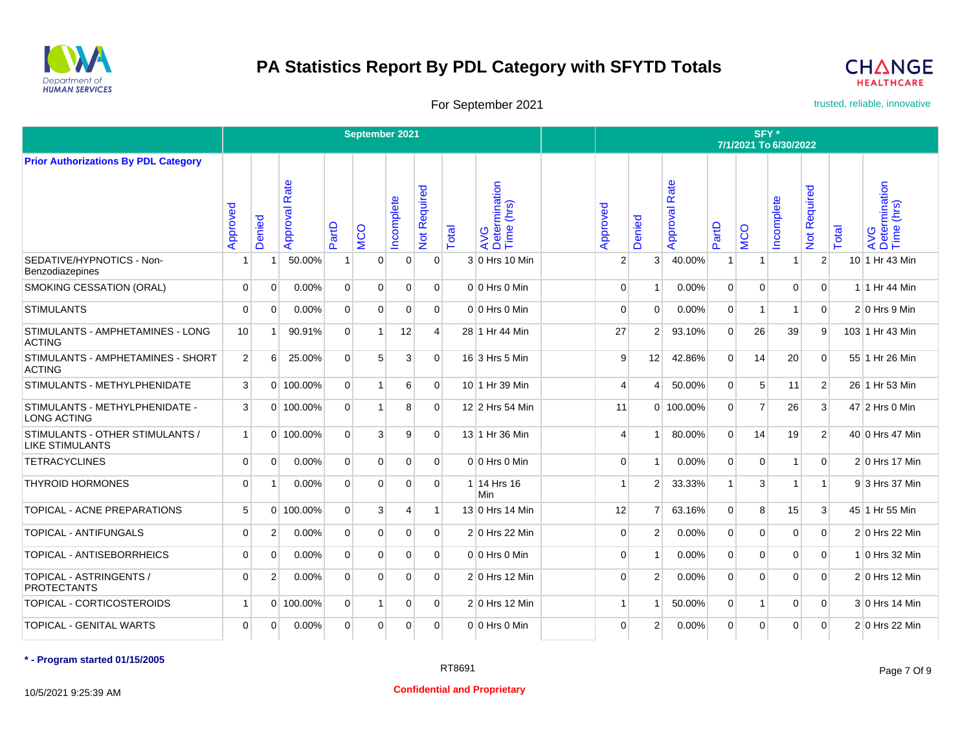



For September 2021 **trusted, reliable, innovative** 

|                                                           |                |                |                      |                | September 2021 |                |                   |       |                                             |                       |                       |                      |                | SFY*           | 7/1/2021 To 6/30/2022    |                     |       |                                    |
|-----------------------------------------------------------|----------------|----------------|----------------------|----------------|----------------|----------------|-------------------|-------|---------------------------------------------|-----------------------|-----------------------|----------------------|----------------|----------------|--------------------------|---------------------|-------|------------------------------------|
| <b>Prior Authorizations By PDL Category</b>               |                |                |                      |                |                |                |                   |       |                                             |                       |                       |                      |                |                |                          |                     |       |                                    |
|                                                           | Approved       | Denied         | <b>Approval Rate</b> | PartD          | <b>MCO</b>     | Incomplete     | equired<br>Not Re | Total | rmination<br>(hrs)<br>AVG<br>Deteri<br>Time | Approved              | enied<br>Ō            | <b>Approval Rate</b> | PartD          | MCO            | Incomplete               | <b>Not Required</b> | Total | AVG<br>Determination<br>Time (hrs) |
| SEDATIVE/HYPNOTICS - Non-<br>Benzodiazepines              | 1              | 1              | 50.00%               | $\mathbf{1}$   | $\Omega$       | $\mathbf 0$    | $\overline{0}$    |       | 3 0 Hrs 10 Min                              | $\overline{2}$        | 3                     | 40.00%               | $\overline{1}$ | 1              |                          | 2                   |       | 10 1 Hr 43 Min                     |
| SMOKING CESSATION (ORAL)                                  | $\overline{0}$ | $\mathbf 0$    | 0.00%                | $\mathbf 0$    | $\mathbf 0$    | 0              | $\overline{0}$    |       | $0 0$ Hrs 0 Min                             | $\overline{0}$        |                       | 0.00%                | $\overline{0}$ | $\mathbf 0$    | $\mathbf 0$              | $\overline{0}$      |       | 1 1 Hr 44 Min                      |
| <b>STIMULANTS</b>                                         | $\mathbf 0$    | $\Omega$       | 0.00%                | $\mathbf 0$    | $\Omega$       | $\mathbf 0$    | $\overline{0}$    |       | $0 0$ Hrs 0 Min                             | $\mathbf 0$           | $\Omega$              | 0.00%                | $\overline{0}$ | $\mathbf{1}$   | $\overline{\phantom{a}}$ | $\overline{0}$      |       | $2 0$ Hrs 9 Min                    |
| STIMULANTS - AMPHETAMINES - LONG<br><b>ACTING</b>         | 10             | -1             | 90.91%               | $\Omega$       | 1              | 12             | $\overline{4}$    |       | 28 1 Hr 44 Min                              | 27                    | 2                     | 93.10%               | $\Omega$       | 26             | 39                       | 9                   |       | 103 1 Hr 43 Min                    |
| STIMULANTS - AMPHETAMINES - SHORT<br><b>ACTING</b>        | $\overline{2}$ | 6              | 25.00%               | $\Omega$       | 5              | 3              | $\Omega$          |       | 16 3 Hrs 5 Min                              | 9                     | 12                    | 42.86%               | $\Omega$       | 14             | 20                       | $\Omega$            |       | 55 1 Hr 26 Min                     |
| STIMULANTS - METHYLPHENIDATE                              | 3              |                | 0 100.00%            | $\overline{0}$ | 1              | 6              | $\Omega$          |       | 10 1 Hr 39 Min                              | $\boldsymbol{\Delta}$ | $\boldsymbol{\Delta}$ | 50.00%               | 0              | 5              | 11                       | 2                   |       | 26 1 Hr 53 Min                     |
| STIMULANTS - METHYLPHENIDATE -<br><b>LONG ACTING</b>      | 3              |                | 0 100.00%            | $\Omega$       | 1              | 8              | $\Omega$          |       | 12 2 Hrs 54 Min                             | 11                    |                       | $0$ 100.00%          | 0              | $\overline{7}$ | 26                       | 3                   |       | 47 2 Hrs 0 Min                     |
| STIMULANTS - OTHER STIMULANTS /<br><b>LIKE STIMULANTS</b> | $\mathbf{1}$   |                | 0 100.00%            | $\mathbf 0$    | 3              | 9              | $\Omega$          |       | 13 1 Hr 36 Min                              | $\overline{4}$        |                       | 80.00%               | 0              | 14             | 19                       | 2                   |       | 40 0 Hrs 47 Min                    |
| <b>TETRACYCLINES</b>                                      | $\Omega$       | $\Omega$       | 0.00%                | $\Omega$       | $\Omega$       | $\Omega$       | $\Omega$          |       | $0 0$ Hrs 0 Min                             | $\Omega$              |                       | 0.00%                | $\Omega$       | $\Omega$       | 1                        | $\Omega$            |       | 2 0 Hrs 17 Min                     |
| <b>THYROID HORMONES</b>                                   | $\mathbf 0$    | 1              | 0.00%                | $\mathbf 0$    | $\mathbf 0$    | $\Omega$       | $\Omega$          |       | 1 14 Hrs 16<br>Min                          |                       | 2                     | 33.33%               | 1              | 3              |                          | $\mathbf{1}$        |       | 93 Hrs 37 Min                      |
| TOPICAL - ACNE PREPARATIONS                               | 5              | $\Omega$       | 100.00%              | $\Omega$       | 3              | $\overline{4}$ |                   |       | 13 0 Hrs 14 Min                             | 12                    | 7                     | 63.16%               | $\Omega$       | 8              | 15                       | 3                   |       | 45 1 Hr 55 Min                     |
| <b>TOPICAL - ANTIFUNGALS</b>                              | $\overline{0}$ | $\overline{2}$ | 0.00%                | $\mathbf 0$    | $\mathbf 0$    | 0              | $\overline{0}$    |       | 2 0 Hrs 22 Min                              | $\mathbf 0$           | 2                     | 0.00%                | $\mathbf 0$    | $\mathbf 0$    | $\mathbf 0$              | $\overline{0}$      |       | 2 0 Hrs 22 Min                     |
| TOPICAL - ANTISEBORRHEICS                                 | $\overline{0}$ | $\Omega$       | 0.00%                | $\Omega$       | $\Omega$       | $\Omega$       | $\overline{0}$    |       | $0 0$ Hrs 0 Min                             | $\mathbf 0$           |                       | 0.00%                | $\Omega$       | $\Omega$       | $\Omega$                 | $\overline{0}$      |       | $1 0$ Hrs 32 Min                   |
| TOPICAL - ASTRINGENTS /<br><b>PROTECTANTS</b>             | $\mathbf 0$    | $\overline{2}$ | 0.00%                | $\mathbf 0$    | $\Omega$       | $\mathbf 0$    | $\overline{0}$    |       | $2 0$ Hrs 12 Min                            | $\mathbf 0$           | $\mathbf{2}$          | 0.00%                | $\Omega$       | $\Omega$       | $\Omega$                 | $\mathbf 0$         |       | $2 0$ Hrs 12 Min                   |
| TOPICAL - CORTICOSTEROIDS                                 | $\mathbf{1}$   |                | 0 100.00%            | $\mathbf 0$    | 1              | $\mathbf 0$    | $\overline{0}$    |       | $2 0$ Hrs 12 Min                            | $\mathbf{1}$          |                       | 50.00%               | $\mathbf 0$    | 1              | $\Omega$                 | $\overline{0}$      |       | 3 0 Hrs 14 Min                     |
| TOPICAL - GENITAL WARTS                                   | $\overline{0}$ | $\Omega$       | 0.00%                | $\Omega$       | $\Omega$       | $\Omega$       | $\Omega$          |       | $0 0$ Hrs 0 Min                             | $\Omega$              | 2                     | 0.00%                | $\Omega$       | $\Omega$       | $\Omega$                 | $\Omega$            |       | 2 0 Hrs 22 Min                     |

**\* - Program started 01/15/2005**

10/5/2021 9:25:39 AM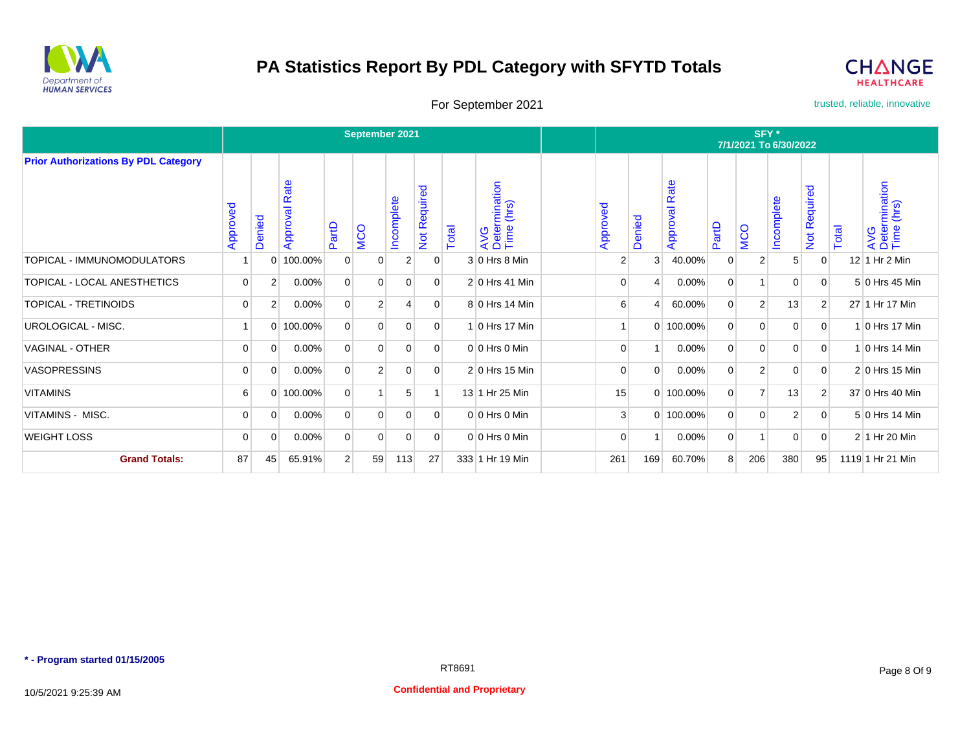



For September 2021 **trusted, reliable, innovative** 

|                                             |             |                |                  |                | September 2021 |                |                                   |       |                                              |                |          |                  |                | SFY*           | 7/1/2021 To 6/30/2022 |                |       |                                    |
|---------------------------------------------|-------------|----------------|------------------|----------------|----------------|----------------|-----------------------------------|-------|----------------------------------------------|----------------|----------|------------------|----------------|----------------|-----------------------|----------------|-------|------------------------------------|
| <b>Prior Authorizations By PDL Category</b> |             |                |                  |                |                |                |                                   |       |                                              |                |          |                  |                |                |                       |                |       |                                    |
|                                             | Approved    | Denied         | Rate<br>Approval | PartD          | <b>MCO</b>     | Incomplete     | equired<br>$\alpha$<br><b>Not</b> | Total | rmination<br>a (hrs)<br>AVG<br>Deter<br>Time | Approved       | Denied   | Rate<br>Approval | PartD          | <b>MCO</b>     | Incomplete            | Not Required   | Total | AVG<br>Determination<br>Time (hrs) |
| TOPICAL - IMMUNOMODULATORS                  |             | 0              | 100.00%          | 0              | 0              | 2              | 0                                 |       | $3 0$ Hrs 8 Min                              | 2              | 3        | 40.00%           | 0              | $\overline{2}$ | 5                     | 0              |       | $12$ 1 Hr 2 Min                    |
| TOPICAL - LOCAL ANESTHETICS                 | $\mathbf 0$ | $\overline{2}$ | $0.00\%$         | $\overline{0}$ | 0              | $\overline{0}$ | $\overline{0}$                    |       | $2 0$ Hrs 41 Min                             | $\overline{0}$ |          | 0.00%            | $\overline{0}$ | 1              | $\overline{0}$        | 0              |       | 5 0 Hrs 45 Min                     |
| <b>TOPICAL - TRETINOIDS</b>                 | $\mathbf 0$ | $\overline{2}$ | $0.00\%$         | $\mathbf 0$    | 2              | 4              | $\Omega$                          |       | 8 0 Hrs 14 Min                               | 6              |          | 60.00%           | $\Omega$       | $\overline{2}$ | 13                    | $\overline{2}$ |       | 27 1 Hr 17 Min                     |
| UROLOGICAL - MISC.                          |             | $\Omega$       | 100.00%          | $\mathbf 0$    | $\Omega$       | 0              | $\Omega$                          |       | 1 0 Hrs 17 Min                               |                | $\Omega$ | 100.00%          | $\mathbf 0$    | $\overline{0}$ | $\mathbf 0$           | 0              |       | 1 0 Hrs 17 Min                     |
| <b>VAGINAL - OTHER</b>                      | 0           | $\mathbf 0$    | $0.00\%$         | $\overline{0}$ | $\Omega$       | $\overline{0}$ | $\Omega$                          |       | $0 0$ Hrs 0 Min                              | $\overline{0}$ |          | 0.00%            | $\Omega$       | $\overline{0}$ | $\overline{0}$        | 0              |       | $1 0$ Hrs 14 Min                   |
| <b>VASOPRESSINS</b>                         | 0           | 0              | $0.00\%$         | $\mathbf 0$    | 2              | 0              | $\overline{0}$                    |       | 2 0 Hrs 15 Min                               | $\overline{0}$ | $\Omega$ | 0.00%            | $\Omega$       | $\overline{2}$ | 0                     | 0              |       | $2 0$ Hrs 15 Min                   |
| <b>VITAMINS</b>                             | 6           | $\overline{0}$ | 100.00%          | $\overline{0}$ |                | 5              |                                   |       | 13 1 Hr 25 Min                               | 15             | $\Omega$ | 100.00%          | $\overline{0}$ | $\overline{7}$ | 13                    | $\overline{2}$ |       | 37 0 Hrs 40 Min                    |
| VITAMINS - MISC.                            | $\mathbf 0$ | 0              | $0.00\%$         | 0              | $\Omega$       | 0              | $\Omega$                          |       | $0 0$ Hrs 0 Min                              | 3              | $\Omega$ | 100.00%          | $\Omega$       | $\overline{0}$ | 2                     | 0              |       | 5 0 Hrs 14 Min                     |
| <b>WEIGHT LOSS</b>                          | 0           | 0              | $0.00\%$         | 0              | 0              | 0              | $\overline{0}$                    |       | $0 0$ Hrs 0 Min                              | $\overline{0}$ |          | 0.00%            | $\overline{0}$ | 1 <sup>1</sup> | 0                     | 0              |       | 2 1 Hr 20 Min                      |
| <b>Grand Totals:</b>                        | 87          | 45             | 65.91%           | 2              | 59             | 113            | 27                                |       | 333 1 Hr 19 Min                              | 261            | 169      | 60.70%           | 8              | 206            | 380                   | 95             |       | 1119 1 Hr 21 Min                   |